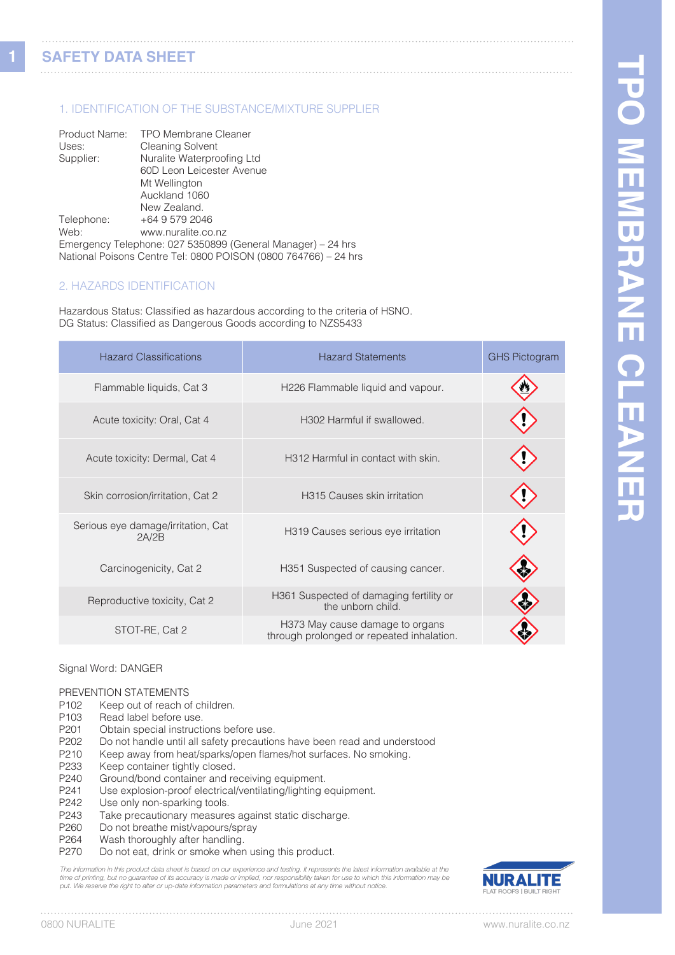### 1. IDENTIFICATION OF THE SUBSTANCE/MIXTURE SUPPLIER

| Product Name: | <b>TPO Membrane Cleaner</b>                                     |
|---------------|-----------------------------------------------------------------|
| Uses:         | <b>Cleaning Solvent</b>                                         |
| Supplier:     | Nuralite Waterproofing Ltd                                      |
|               | 60D Leon Leicester Avenue                                       |
|               | Mt Wellington                                                   |
|               | Auckland 1060                                                   |
|               | New Zealand.                                                    |
| Telephone:    | +64 9 579 2046                                                  |
| Web:          | www.nuralite.co.nz                                              |
|               | Emergency Telephone: 027 5350899 (General Manager) - 24 hrs     |
|               | National Poisons Centre Tel: 0800 POISON (0800 764766) - 24 hrs |

#### 2. HAZARDS IDENTIFICATION

Hazardous Status: Classified as hazardous according to the criteria of HSNO. DG Status: Classified as Dangerous Goods according to NZS5433

| <b>Hazard Classifications</b>               | <b>Hazard Statements</b>                                                     | <b>GHS Pictogram</b> |
|---------------------------------------------|------------------------------------------------------------------------------|----------------------|
| Flammable liquids, Cat 3                    | H226 Flammable liquid and vapour.                                            |                      |
| Acute toxicity: Oral, Cat 4                 | H302 Harmful if swallowed.                                                   |                      |
| Acute toxicity: Dermal, Cat 4               | H312 Harmful in contact with skin.                                           |                      |
| Skin corrosion/irritation, Cat 2            | H315 Causes skin irritation                                                  |                      |
| Serious eye damage/irritation, Cat<br>2A/2B | H319 Causes serious eye irritation                                           |                      |
| Carcinogenicity, Cat 2                      | H351 Suspected of causing cancer.                                            |                      |
| Reproductive toxicity, Cat 2                | H361 Suspected of damaging fertility or<br>the unborn child.                 |                      |
| STOT-RE, Cat 2                              | H373 May cause damage to organs<br>through prolonged or repeated inhalation. |                      |

**1**

#### Signal Word: DANGER

# PREVENTION STATEMENTS<br>P102 Keep out of reach of

- P102 Keep out of reach of children.<br>P103 Read label before use.
- P103 Read label before use.<br>P201 Obtain special instruction
- Obtain special instructions before use.
- P202 Do not handle until all safety precautions have been read and understood
- P210 Keep away from heat/sparks/open flames/hot surfaces. No smoking.
- P233 Keep container tightly closed.<br>P240 Ground/bond container and re
- P240 Ground/bond container and receiving equipment.<br>P241 Use explosion-proof electrical/ventilating/lighting
- Use explosion-proof electrical/ventilating/lighting equipment.
- P242 Use only non-sparking tools.<br>P243 Take precautionary measure
- Take precautionary measures against static discharge.
- P260 Do not breathe mist/vapours/spray<br>P264 Wash thoroughly after handling.
- Wash thoroughly after handling.
- P270 Do not eat, drink or smoke when using this product.

The information in this product data sheet is based on our experience and testing. It represents the latest information available at the time of printing, but no guarantee of its accuracy is made or implied, nor responsibility taken for use to which this information may be<br>put. We reserve the right to alter or up-date information parameters and formulations

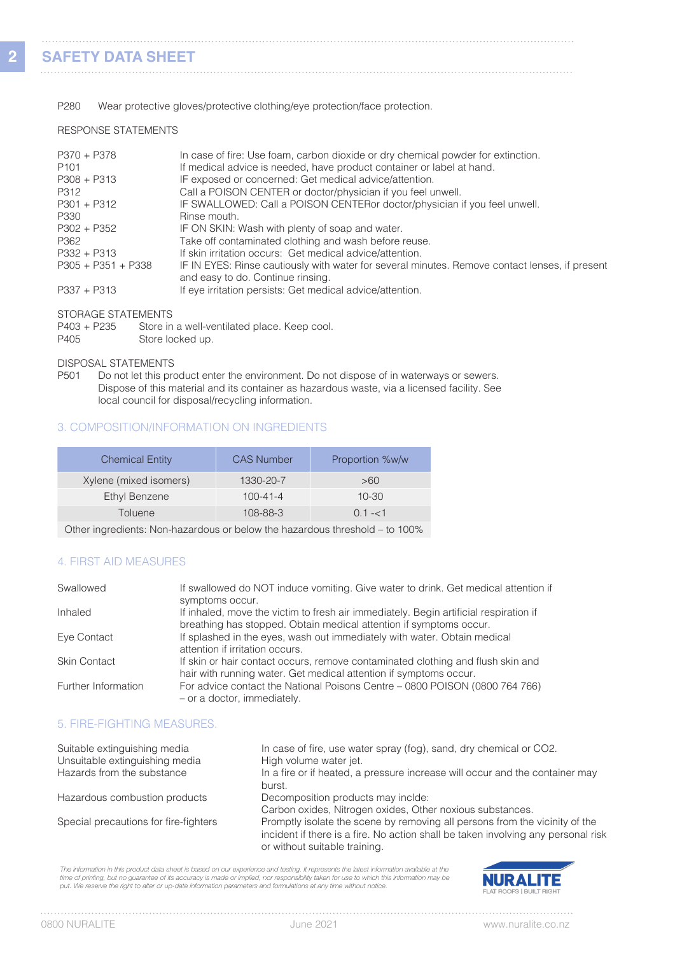#### P280 Wear protective gloves/protective clothing/eye protection/face protection.

#### RESPONSE STATEMENTS

| P370 + P378<br>P <sub>101</sub> | In case of fire: Use foam, carbon dioxide or dry chemical powder for extinction.<br>If medical advice is needed, have product container or label at hand. |
|---------------------------------|-----------------------------------------------------------------------------------------------------------------------------------------------------------|
| $P308 + P313$                   | IF exposed or concerned: Get medical advice/attention.                                                                                                    |
| P312                            | Call a POISON CENTER or doctor/physician if you feel unwell.                                                                                              |
| $P301 + P312$                   | IF SWALLOWED: Call a POISON CENTERor doctor/physician if you feel unwell.                                                                                 |
| P330                            | Rinse mouth.                                                                                                                                              |
| $P302 + P352$                   | IF ON SKIN: Wash with plenty of soap and water.                                                                                                           |
| P362                            | Take off contaminated clothing and wash before reuse.                                                                                                     |
| $P332 + P313$                   | If skin irritation occurs: Get medical advice/attention.                                                                                                  |
| $P305 + P351 + P338$            | IF IN EYES: Rinse cautiously with water for several minutes. Remove contact lenses, if present<br>and easy to do. Continue rinsing.                       |
| $P337 + P313$                   | If eye irritation persists: Get medical advice/attention.                                                                                                 |

STORAGE STATEMENTS

| P403 + P235 | Store in a well-ventilated place. Keep cool. |
|-------------|----------------------------------------------|
| P405        | Store locked up.                             |

#### DISPOSAL STATEMENTS

P501 Do not let this product enter the environment. Do not dispose of in waterways or sewers. Dispose of this material and its container as hazardous waste, via a licensed facility. See local council for disposal/recycling information.

#### 3. COMPOSITION/INFORMATION ON INGREDIENTS

| <b>Chemical Entity</b>                                                      | <b>CAS Number</b> | Proportion %w/w |  |
|-----------------------------------------------------------------------------|-------------------|-----------------|--|
| Xylene (mixed isomers)                                                      | 1330-20-7         | >60             |  |
| <b>Ethyl Benzene</b>                                                        | $100 - 41 - 4$    | $10 - 30$       |  |
| Toluene                                                                     | 108-88-3          | $0.1 - 51$      |  |
| Other ingredients: Non-hazardous or below the hazardous threshold - to 100% |                   |                 |  |

#### 4. FIRST AID MEASURES

| Swallowed           | If swallowed do NOT induce vomiting. Give water to drink. Get medical attention if<br>symptoms occur.                                                       |
|---------------------|-------------------------------------------------------------------------------------------------------------------------------------------------------------|
| Inhaled             | If inhaled, move the victim to fresh air immediately. Begin artificial respiration if<br>breathing has stopped. Obtain medical attention if symptoms occur. |
| Eye Contact         | If splashed in the eyes, wash out immediately with water. Obtain medical<br>attention if irritation occurs.                                                 |
| <b>Skin Contact</b> | If skin or hair contact occurs, remove contaminated clothing and flush skin and<br>hair with running water. Get medical attention if symptoms occur.        |
| Further Information | For advice contact the National Poisons Centre – 0800 POISON (0800 764 766)<br>- or a doctor, immediately.                                                  |

#### 5. FIRE-FIGHTING MEASURES.

| Suitable extinguishing media<br>Unsuitable extinguishing media<br>Hazards from the substance | In case of fire, use water spray (fog), sand, dry chemical or CO2.<br>High volume water jet.<br>In a fire or if heated, a pressure increase will occur and the container may<br>burst.            |
|----------------------------------------------------------------------------------------------|---------------------------------------------------------------------------------------------------------------------------------------------------------------------------------------------------|
| Hazardous combustion products                                                                | Decomposition products may inclde:<br>Carbon oxides, Nitrogen oxides, Other noxious substances.                                                                                                   |
| Special precautions for fire-fighters                                                        | Promptly isolate the scene by removing all persons from the vicinity of the<br>incident if there is a fire. No action shall be taken involving any personal risk<br>or without suitable training. |

The information in this product data sheet is based on our experience and testing. It represents the latest information available at the<br>time of printing, but no guarantee of its accuracy is made or implied, nor responsibi



. . . . . . . .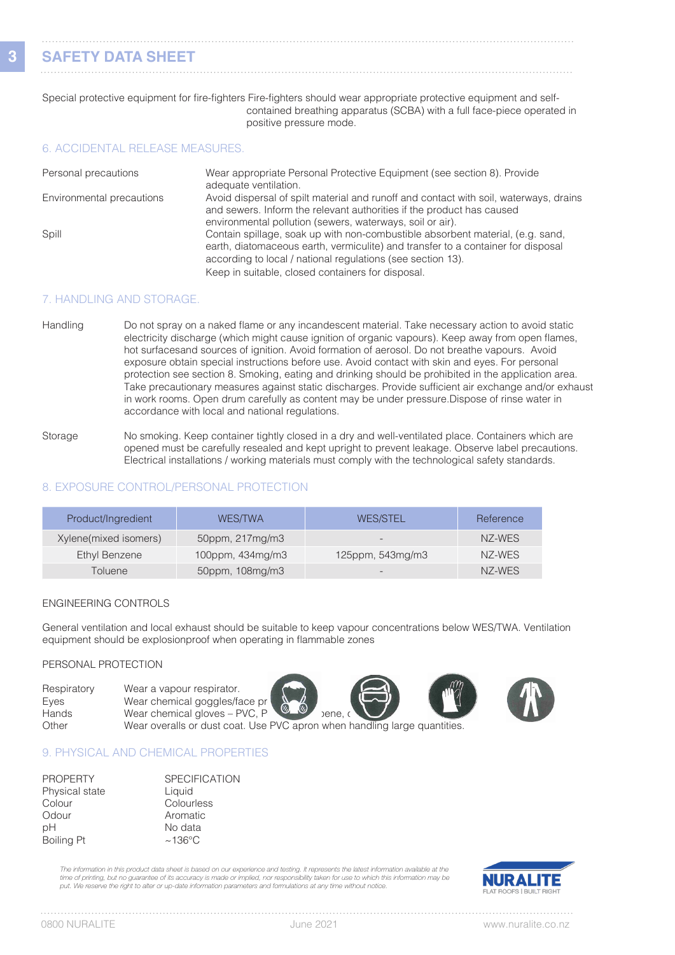# **SAFETY DATA SHEET**

#### Special protective equipment for fire-fighters Fire-fighters should wear appropriate protective equipment and selfcontained breathing apparatus (SCBA) with a full face-piece operated in positive pressure mode.

#### 6. ACCIDENTAL RELEASE MEASURES.

| Personal precautions      | Wear appropriate Personal Protective Equipment (see section 8). Provide<br>adequate ventilation.                                                                                                                                  |
|---------------------------|-----------------------------------------------------------------------------------------------------------------------------------------------------------------------------------------------------------------------------------|
| Environmental precautions | Avoid dispersal of spilt material and runoff and contact with soil, waterways, drains<br>and sewers. Inform the relevant authorities if the product has caused<br>environmental pollution (sewers, waterways, soil or air).       |
| Spill                     | Contain spillage, soak up with non-combustible absorbent material, (e.g. sand,<br>earth, diatomaceous earth, vermiculite) and transfer to a container for disposal<br>according to local / national regulations (see section 13). |
|                           | Keep in suitable, closed containers for disposal.                                                                                                                                                                                 |

#### 7. HANDLING AND STORAGE.

- Handling Do not spray on a naked flame or any incandescent material. Take necessary action to avoid static electricity discharge (which might cause ignition of organic vapours). Keep away from open flames, hot surfacesand sources of ignition. Avoid formation of aerosol. Do not breathe vapours. Avoid exposure obtain special instructions before use. Avoid contact with skin and eyes. For personal protection see section 8. Smoking, eating and drinking should be prohibited in the application area. Take precautionary measures against static discharges. Provide sufficient air exchange and/or exhaust in work rooms. Open drum carefully as content may be under pressure.Dispose of rinse water in accordance with local and national regulations.
- Storage No smoking. Keep container tightly closed in a dry and well-ventilated place. Containers which are opened must be carefully resealed and kept upright to prevent leakage. Observe label precautions. Electrical installations / working materials must comply with the technological safety standards.

#### 8. EXPOSURE CONTROL/PERSONAL PROTECTION

| Product/Ingredient    | <b>WES/TWA</b>   | <b>WES/STEL</b>          | Reference |
|-----------------------|------------------|--------------------------|-----------|
| Xylene(mixed isomers) | 50ppm, 217mg/m3  | $\overline{\phantom{a}}$ | NZ-WES    |
| Ethyl Benzene         | 100ppm, 434mg/m3 | 125ppm, $543mg/m3$       | NZ-WES    |
| Toluene               | 50ppm, 108mg/m3  |                          | NZ-WES    |

#### ENGINEERING CONTROLS

General ventilation and local exhaust should be suitable to keep vapour concentrations below WES/TWA. Ventilation equipment should be explosionproof when operating in flammable zones

#### PERSONAL PROTECTION

| Respiratory | Wear a vapour respirator.                                                 |
|-------------|---------------------------------------------------------------------------|
| Eyes        | Wear chemical goggles/face pr<br>$\circledcirc$                           |
| Hands       | Wear chemical gloves $-$ PVC, P<br>bene.c                                 |
| Other       | Wear overalls or dust coat. Use PVC apron when handling large quantities. |

#### 9. PHYSICAL AND CHEMICAL PROPERTIES

| <b>SPECIFICATION</b> |
|----------------------|
| Liquid               |
| Colourless           |
| Aromatic             |
| No data              |
| $~136^{\circ}$ C     |
|                      |

*The information in this product data sheet is based on our experience and testing. It represents the latest information available at the*  time of printing, but no guarantee of its accuracy is made or implied, nor responsibility taken for use to which this information may be<br>put. We reserve the right to alter or up-date information parameters and formulations

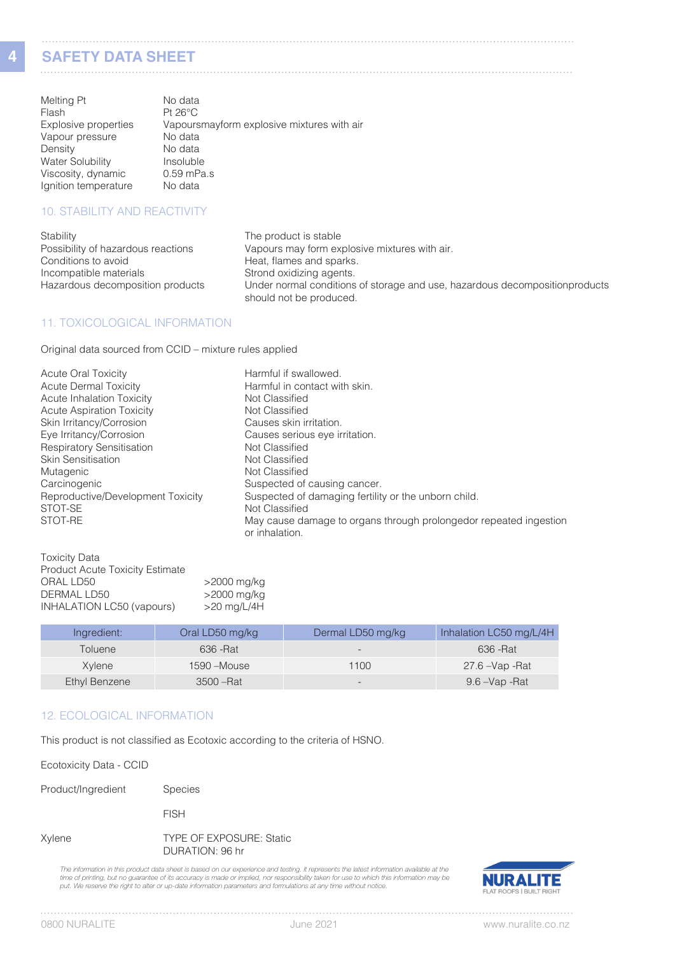## **SAFETY DATA SHEET**

**4**

| <u> YALELI PAIA YIILEI </u> |  |  |
|-----------------------------|--|--|
|                             |  |  |

| Melting Pt              | No data                                    |
|-------------------------|--------------------------------------------|
| Flash                   | $Pt 26^{\circ}C$                           |
| Explosive properties    | Vapoursmayform explosive mixtures with air |
| Vapour pressure         | No data                                    |
| Density                 | No data                                    |
| <b>Water Solubility</b> | Insoluble                                  |
| Viscosity, dynamic      | $0.59$ mPa.s                               |
| Ignition temperature    | No data                                    |

### 10. STABILITY AND REACTIVITY

| Stability                          | The product is stable                                                                                   |
|------------------------------------|---------------------------------------------------------------------------------------------------------|
| Possibility of hazardous reactions | Vapours may form explosive mixtures with air.                                                           |
| Conditions to avoid                | Heat, flames and sparks.                                                                                |
| Incompatible materials             | Strond oxidizing agents.                                                                                |
| Hazardous decomposition products   | Under normal conditions of storage and use, hazardous decomposition products<br>should not be produced. |

#### 11. TOXICOLOGICAL INFORMATION

Original data sourced from CCID – mixture rules applied

| <b>Acute Oral Toxicity</b>        | Harmful if swallowed.                                                               |
|-----------------------------------|-------------------------------------------------------------------------------------|
| <b>Acute Dermal Toxicity</b>      | Harmful in contact with skin.                                                       |
| <b>Acute Inhalation Toxicity</b>  | Not Classified                                                                      |
| <b>Acute Aspiration Toxicity</b>  | Not Classified                                                                      |
| Skin Irritancy/Corrosion          | Causes skin irritation.                                                             |
| Eye Irritancy/Corrosion           | Causes serious eye irritation.                                                      |
| <b>Respiratory Sensitisation</b>  | Not Classified                                                                      |
| <b>Skin Sensitisation</b>         | Not Classified                                                                      |
| Mutagenic                         | Not Classified                                                                      |
| Carcinogenic                      | Suspected of causing cancer.                                                        |
| Reproductive/Development Toxicity | Suspected of damaging fertility or the unborn child.                                |
| STOT-SE                           | Not Classified                                                                      |
| STOT-RE                           | May cause damage to organs through prolongedor repeated ingestion<br>or inhalation. |

| <b>Toxicity Data</b>                   |               |
|----------------------------------------|---------------|
| <b>Product Acute Toxicity Estimate</b> |               |
| ORAL LD50                              | >2000 mg/kg   |
| DERMAL LD50                            | >2000 mg/kg   |
| INHALATION LC50 (vapours)              | $>20$ mg/L/4H |
|                                        |               |

| Ingredient:    | Oral LD50 mg/kg | Dermal LD50 mg/kg        | Inhalation LC50 mg/L/4H |
|----------------|-----------------|--------------------------|-------------------------|
| <b>Toluene</b> | 636 - Rat       | $\overline{\phantom{0}}$ | 636 - Rat               |
| Xvlene         | $1590 - Mouse$  | 1100                     | 27.6 – Vap - Rat        |
| Ethyl Benzene  | $3500 - Rat$    | $\overline{\phantom{0}}$ | 9.6 –Vap -Rat           |

#### 12. ECOLOGICAL INFORMATION

This product is not classified as Ecotoxic according to the criteria of HSNO.

Ecotoxicity Data - CCID

Product/Ingredient Species

FISH

Xylene TYPE OF EXPOSURE: Static DURATION: 96 hr

The information in this product data sheet is based on our experience and testing. It represents the latest information available at the<br>time of printing, but no guarantee of its accuracy is made or implied, nor responsibi



 $1.1.1.1$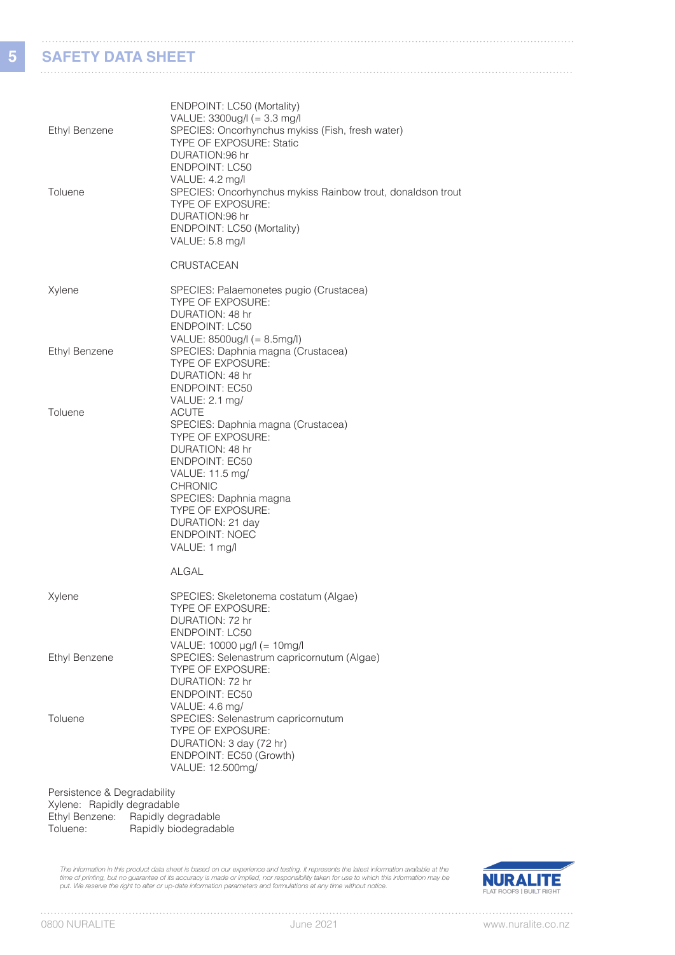## **SAFETY DATA SHEET**

**5**

| <b>Ethyl Benzene</b><br>Toluene                           | ENDPOINT: LC50 (Mortality)<br>VALUE: 3300ug/l (= 3.3 mg/l<br>SPECIES: Oncorhynchus mykiss (Fish, fresh water)<br>TYPE OF EXPOSURE: Static<br>DURATION:96 hr<br><b>ENDPOINT: LC50</b><br>VALUE: 4.2 mg/l<br>SPECIES: Oncorhynchus mykiss Rainbow trout, donaldson trout<br>TYPE OF EXPOSURE:<br>DURATION:96 hr<br>ENDPOINT: LC50 (Mortality)<br>VALUE: 5.8 mg/l |
|-----------------------------------------------------------|----------------------------------------------------------------------------------------------------------------------------------------------------------------------------------------------------------------------------------------------------------------------------------------------------------------------------------------------------------------|
|                                                           | <b>CRUSTACEAN</b>                                                                                                                                                                                                                                                                                                                                              |
| Xylene                                                    | SPECIES: Palaemonetes pugio (Crustacea)<br><b>TYPE OF EXPOSURE:</b><br>DURATION: 48 hr<br><b>ENDPOINT: LC50</b><br>VALUE: 8500ug/l (= 8.5mg/l)                                                                                                                                                                                                                 |
| <b>Ethyl Benzene</b>                                      | SPECIES: Daphnia magna (Crustacea)<br><b>TYPE OF EXPOSURE:</b><br>DURATION: 48 hr<br><b>ENDPOINT: EC50</b><br>VALUE: 2.1 mg/                                                                                                                                                                                                                                   |
| Toluene                                                   | <b>ACUTE</b><br>SPECIES: Daphnia magna (Crustacea)<br>TYPE OF EXPOSURE:<br>DURATION: 48 hr<br><b>ENDPOINT: EC50</b><br>VALUE: 11.5 mg/<br><b>CHRONIC</b><br>SPECIES: Daphnia magna<br><b>TYPE OF EXPOSURE:</b><br>DURATION: 21 day<br><b>ENDPOINT: NOEC</b><br>VALUE: 1 mg/l                                                                                   |
|                                                           | <b>ALGAL</b>                                                                                                                                                                                                                                                                                                                                                   |
| Xylene                                                    | SPECIES: Skeletonema costatum (Algae)<br><b>TYPE OF EXPOSURE:</b><br>DURATION: 72 hr<br><b>ENDPOINT: LC50</b><br>VALUE: 10000 µg/l (= 10mg/l                                                                                                                                                                                                                   |
| <b>Ethyl Benzene</b>                                      | SPECIES: Selenastrum capricornutum (Algae)<br>TYPE OF EXPOSURE:<br>DURATION: 72 hr<br><b>ENDPOINT: EC50</b>                                                                                                                                                                                                                                                    |
| Toluene                                                   | VALUE: 4.6 mg/<br>SPECIES: Selenastrum capricornutum<br>TYPE OF EXPOSURE:<br>DURATION: 3 day (72 hr)<br>ENDPOINT: EC50 (Growth)<br>VALUE: 12.500mg/                                                                                                                                                                                                            |
| Persistence & Degradability<br>Xylene: Ranidly degradable |                                                                                                                                                                                                                                                                                                                                                                |

Xylene: Rapidly degradable Ethyl Benzene: Rapidly degradable Toluene: Rapidly biodegradable

The information in this product data sheet is based on our experience and testing. It represents the latest information available at the<br>time of printing, but no guarantee of its accuracy is made or implied, nor responsibi

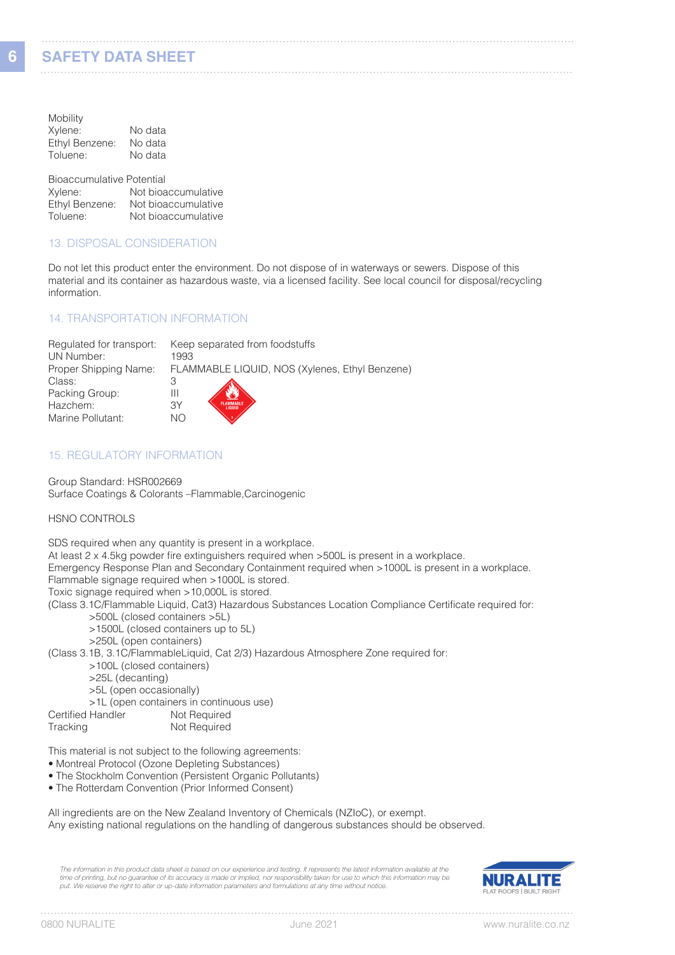| Mobility       |         |
|----------------|---------|
| Xylene:        | No data |
| Ethyl Benzene: | No data |
| Toluene:       | No data |

Bioaccumulative Potential<br>Xylene: Not bioa Not bioaccumulative Ethyl Benzene: Not bioaccumulative<br>Toluene: Not bioaccumulative Not bioaccumulative

#### 13. DISPOSAL CONSIDERATION

Do not let this product enter the environment. Do not dispose of in waterways or sewers. Dispose of this material and its container as hazardous waste, via a licensed facility. See local council for disposal/recycling information.

#### 14. TRANSPORTATION INFORMATION

| Regulated for transport: | Keep separated from foodstuffs                 |
|--------------------------|------------------------------------------------|
| UN Number:               | 1993                                           |
| Proper Shipping Name:    | FLAMMABLE LIQUID, NOS (Xylenes, Ethyl Benzene) |
| Class:                   |                                                |
| Packing Group:           | Ш                                              |
| Hazchem:                 | ЗY                                             |
| Marine Pollutant:        | NС                                             |

#### 15. REGULATORY INFORMATION

Group Standard: HSR002669 Surface Coatings & Colorants –Flammable,Carcinogenic

HSNO CONTROLS

|                   | SDS required when any quantity is present in a workplace.<br>At least 2 x 4.5kg powder fire extinguishers required when >500L is present in a workplace.<br>Emergency Response Plan and Secondary Containment required when >1000L is present in a workplace.<br>Flammable signage required when >1000L is stored. |
|-------------------|--------------------------------------------------------------------------------------------------------------------------------------------------------------------------------------------------------------------------------------------------------------------------------------------------------------------|
|                   | Toxic signage required when >10,000L is stored.                                                                                                                                                                                                                                                                    |
|                   | (Class 3.1C/Flammable Liquid, Cat3) Hazardous Substances Location Compliance Certificate required for:<br>>500L (closed containers >5L)                                                                                                                                                                            |
|                   | >1500L (closed containers up to 5L)                                                                                                                                                                                                                                                                                |
|                   | >250L (open containers)                                                                                                                                                                                                                                                                                            |
|                   | (Class 3.1B, 3.1C/FlammableLiquid, Cat 2/3) Hazardous Atmosphere Zone required for:                                                                                                                                                                                                                                |
|                   | >100L (closed containers)                                                                                                                                                                                                                                                                                          |
| >25L (decanting)  |                                                                                                                                                                                                                                                                                                                    |
|                   | >5L (open occasionally)                                                                                                                                                                                                                                                                                            |
|                   | >1L (open containers in continuous use)                                                                                                                                                                                                                                                                            |
| Certified Handler | Not Required                                                                                                                                                                                                                                                                                                       |
| Tracking          | Not Required                                                                                                                                                                                                                                                                                                       |

This material is not subject to the following agreements:

- Montreal Protocol (Ozone Depleting Substances)
- The Stockholm Convention (Persistent Organic Pollutants)
- The Rotterdam Convention (Prior Informed Consent)

All ingredients are on the New Zealand Inventory of Chemicals (NZIoC), or exempt. Any existing national regulations on the handling of dangerous substances should be observed.

*The information in this product data sheet is based on our experience and testing. It represents the latest information available at the*  time of printing, but no guarantee of its accuracy is made or implied, nor responsibility taken for use to which this information may be<br>put. We reserve the right to alter or up-date information parameters and formulations